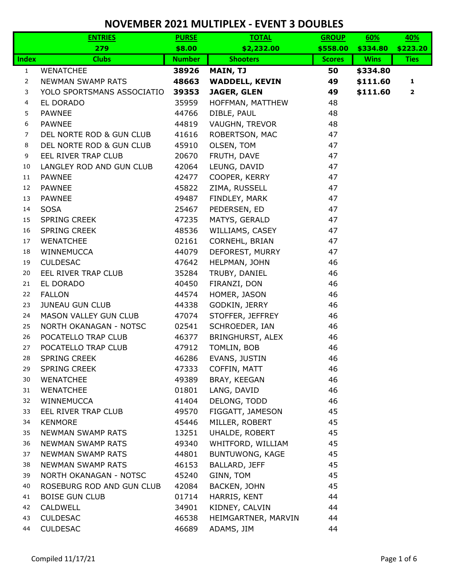|              | <b>ENTRIES</b>             | <b>PURSE</b>  | <b>TOTAL</b>          | <b>GROUP</b>  | 60%         | 40%          |
|--------------|----------------------------|---------------|-----------------------|---------------|-------------|--------------|
|              | 279                        | \$8.00        | \$2,232.00            | \$558.00      | \$334.80    | \$223.20     |
| <b>Index</b> | <b>Clubs</b>               | <b>Number</b> | <b>Shooters</b>       | <b>Scores</b> | <b>Wins</b> | <b>Ties</b>  |
| $\mathbf{1}$ | <b>WENATCHEE</b>           | 38926         | <b>MAIN, TJ</b>       | 50            | \$334.80    |              |
| 2            | <b>NEWMAN SWAMP RATS</b>   | 48663         | <b>WADDELL, KEVIN</b> | 49            | \$111.60    | 1            |
| 3            | YOLO SPORTSMANS ASSOCIATIO | 39353         | <b>JAGER, GLEN</b>    | 49            | \$111.60    | $\mathbf{2}$ |
| 4            | EL DORADO                  | 35959         | HOFFMAN, MATTHEW      | 48            |             |              |
| 5            | <b>PAWNEE</b>              | 44766         | DIBLE, PAUL           | 48            |             |              |
| 6            | <b>PAWNEE</b>              | 44819         | VAUGHN, TREVOR        | 48            |             |              |
| 7            | DEL NORTE ROD & GUN CLUB   | 41616         | ROBERTSON, MAC        | 47            |             |              |
| 8            | DEL NORTE ROD & GUN CLUB   | 45910         | OLSEN, TOM            | 47            |             |              |
| 9            | EEL RIVER TRAP CLUB        | 20670         | FRUTH, DAVE           | 47            |             |              |
| 10           | LANGLEY ROD AND GUN CLUB   | 42064         | LEUNG, DAVID          | 47            |             |              |
| 11           | <b>PAWNEE</b>              | 42477         | COOPER, KERRY         | 47            |             |              |
| 12           | PAWNEE                     | 45822         | ZIMA, RUSSELL         | 47            |             |              |
| 13           | <b>PAWNEE</b>              | 49487         | FINDLEY, MARK         | 47            |             |              |
| 14           | <b>SOSA</b>                | 25467         | PEDERSEN, ED          | 47            |             |              |
| 15           | <b>SPRING CREEK</b>        | 47235         | MATYS, GERALD         | 47            |             |              |
| 16           | <b>SPRING CREEK</b>        | 48536         | WILLIAMS, CASEY       | 47            |             |              |
| 17           | <b>WENATCHEE</b>           | 02161         | CORNEHL, BRIAN        | 47            |             |              |
| 18           | WINNEMUCCA                 | 44079         | DEFOREST, MURRY       | 47            |             |              |
| 19           | <b>CULDESAC</b>            | 47642         | HELPMAN, JOHN         | 46            |             |              |
| 20           | EEL RIVER TRAP CLUB        | 35284         | TRUBY, DANIEL         | 46            |             |              |
| 21           | EL DORADO                  | 40450         | FIRANZI, DON          | 46            |             |              |
| 22           | <b>FALLON</b>              | 44574         | HOMER, JASON          | 46            |             |              |
| 23           | <b>JUNEAU GUN CLUB</b>     | 44338         | GODKIN, JERRY         | 46            |             |              |
| 24           | MASON VALLEY GUN CLUB      | 47074         | STOFFER, JEFFREY      | 46            |             |              |
| 25           | NORTH OKANAGAN - NOTSC     | 02541         | SCHROEDER, IAN        | 46            |             |              |
| 26           | POCATELLO TRAP CLUB        | 46377         | BRINGHURST, ALEX      | 46            |             |              |
| 27           | POCATELLO TRAP CLUB        | 47912         | TOMLIN, BOB           | 46            |             |              |
| 28           | <b>SPRING CREEK</b>        | 46286         | EVANS, JUSTIN         | 46            |             |              |
| 29           | <b>SPRING CREEK</b>        | 47333         | COFFIN, MATT          | 46            |             |              |
| 30           | <b>WENATCHEE</b>           | 49389         | BRAY, KEEGAN          | 46            |             |              |
| 31           | <b>WENATCHEE</b>           | 01801         | LANG, DAVID           | 46            |             |              |
| 32           | WINNEMUCCA                 | 41404         | DELONG, TODD          | 46            |             |              |
| 33           | EEL RIVER TRAP CLUB        | 49570         | FIGGATT, JAMESON      | 45            |             |              |
| 34           | <b>KENMORE</b>             | 45446         | MILLER, ROBERT        | 45            |             |              |
| 35           | NEWMAN SWAMP RATS          | 13251         | UHALDE, ROBERT        | 45            |             |              |
| 36           | <b>NEWMAN SWAMP RATS</b>   | 49340         | WHITFORD, WILLIAM     | 45            |             |              |
| 37           | <b>NEWMAN SWAMP RATS</b>   | 44801         | BUNTUWONG, KAGE       | 45            |             |              |
| 38           | <b>NEWMAN SWAMP RATS</b>   | 46153         | <b>BALLARD, JEFF</b>  | 45            |             |              |
| 39           | NORTH OKANAGAN - NOTSC     | 45240         | GINN, TOM             | 45            |             |              |
| 40           | ROSEBURG ROD AND GUN CLUB  | 42084         | BACKEN, JOHN          | 45            |             |              |
| 41           | <b>BOISE GUN CLUB</b>      | 01714         | HARRIS, KENT          | 44            |             |              |
| 42           | CALDWELL                   | 34901         | KIDNEY, CALVIN        | 44            |             |              |
| 43           | <b>CULDESAC</b>            | 46538         | HEIMGARTNER, MARVIN   | 44            |             |              |
| 44           | <b>CULDESAC</b>            | 46689         | ADAMS, JIM            | 44            |             |              |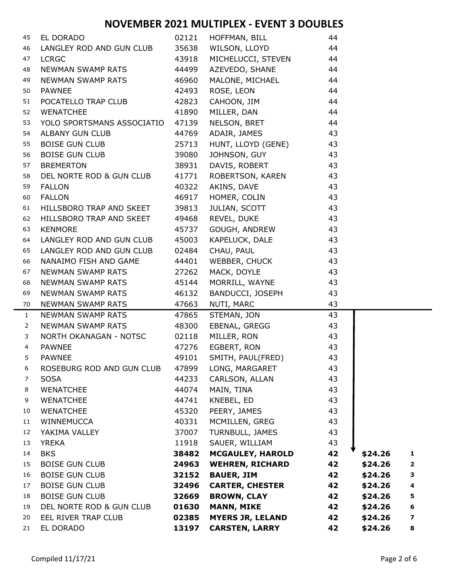| 45             | EL DORADO                        |       | 02121 HOFFMAN, BILL        | 44              |         |                         |
|----------------|----------------------------------|-------|----------------------------|-----------------|---------|-------------------------|
| 46             | LANGLEY ROD AND GUN CLUB         |       | 35638 WILSON, LLOYD        | 44              |         |                         |
| 47             | <b>LCRGC</b>                     | 43918 | MICHELUCCI, STEVEN         | 44              |         |                         |
| 48             | NEWMAN SWAMP RATS                | 44499 | AZEVEDO, SHANE             | 44              |         |                         |
| 49             | NEWMAN SWAMP RATS 46960          |       | MALONE, MICHAEL            | 44              |         |                         |
| 50             | <b>PAWNEE</b>                    | 42493 | ROSE, LEON                 | 44              |         |                         |
| 51             | POCATELLO TRAP CLUB              | 42823 | CAHOON, JIM<br>MILLER, DAN | 44              |         |                         |
| 52             | <b>WENATCHEE</b>                 | 41890 |                            | 44              |         |                         |
| 53             | YOLO SPORTSMANS ASSOCIATIO 47139 |       | NELSON, BRET               | 44              |         |                         |
| 54             | ALBANY GUN CLUB                  | 44769 | ADAIR, JAMES 43            |                 |         |                         |
| 55             | <b>BOISE GUN CLUB</b>            | 25713 | HUNT, LLOYD (GENE) 43      |                 |         |                         |
| 56             | BOISE GUN CLUB                   | 39080 | JOHNSON, GUY<br>43         |                 |         |                         |
| 57             | <b>BREMERTON</b>                 | 38931 | DAVIS, ROBERT              | 43              |         |                         |
| 58             | DEL NORTE ROD & GUN CLUB         | 41771 | ROBERTSON, KAREN           | 43              |         |                         |
| 59             | <b>FALLON</b>                    | 40322 | AKINS, DAVE                | 43              |         |                         |
| 60             | <b>FALLON</b>                    |       | 46917 HOMER, COLIN         | $\overline{43}$ |         |                         |
| 61             | HILLSBORO TRAP AND SKEET         | 39813 | <b>JULIAN, SCOTT</b>       | 43              |         |                         |
| 62             | HILLSBORO TRAP AND SKEET 49468   |       | REVEL, DUKE                | 43              |         |                         |
| 63             | <b>KENMORE</b>                   | 45737 | GOUGH, ANDREW              | 43              |         |                         |
| 64             | LANGLEY ROD AND GUN CLUB 45003   |       | KAPELUCK, DALE             | 43              |         |                         |
| 65             | LANGLEY ROD AND GUN CLUB         | 02484 | CHAU, PAUL                 | 43              |         |                         |
| 66             | NANAIMO FISH AND GAME            | 44401 | WEBBER, CHUCK              | 43              |         |                         |
| 67             | NEWMAN SWAMP RATS                | 27262 | MACK, DOYLE                | 43              |         |                         |
| 68             | NEWMAN SWAMP RATS 45144          |       | MORRILL, WAYNE             | 43              |         |                         |
| 69             | NEWMAN SWAMP RATS                | 46132 | BANDUCCI, JOSEPH           | 43              |         |                         |
| 70             | NEWMAN SWAMP RATS                | 47663 | NUTI, MARC                 | 43              |         |                         |
| $\mathbf{1}$   | NEWMAN SWAMP RATS                | 47865 | STEMAN, JON                | 43              |         |                         |
| $\overline{2}$ | NEWMAN SWAMP RATS                | 48300 | EBENAL, GREGG              | 43              |         |                         |
| 3              | NORTH OKANAGAN - NOTSC           | 02118 | MILLER, RON 43             |                 |         |                         |
| $\overline{4}$ | <b>PAWNEE</b>                    |       | 47276 EGBERT, RON 43       |                 |         |                         |
| 5              | <b>PAWNEE</b>                    | 49101 | SMITH, PAUL(FRED)          | 43              |         |                         |
| 6              | ROSEBURG ROD AND GUN CLUB        | 47899 | LONG, MARGARET             | 43              |         |                         |
| 7              | <b>SOSA</b>                      | 44233 | CARLSON, ALLAN             | 43              |         |                         |
| 8              | <b>WENATCHEE</b>                 | 44074 | MAIN, TINA                 | 43              |         |                         |
| 9              | <b>WENATCHEE</b>                 | 44741 | KNEBEL, ED                 | 43              |         |                         |
| 10             | <b>WENATCHEE</b>                 | 45320 | PEERY, JAMES               | 43              |         |                         |
| 11             | WINNEMUCCA                       | 40331 | MCMILLEN, GREG             | 43              |         |                         |
| 12             | YAKIMA VALLEY                    | 37007 | TURNBULL, JAMES            | 43              |         |                         |
| 13             | <b>YREKA</b>                     | 11918 | SAUER, WILLIAM             | 43              |         |                         |
| 14             | <b>BKS</b>                       | 38482 | <b>MCGAULEY, HAROLD</b>    | 42              | \$24.26 | $\mathbf{1}$            |
| 15             | <b>BOISE GUN CLUB</b>            | 24963 | <b>WEHREN, RICHARD</b>     | 42              | \$24.26 | $\overline{\mathbf{2}}$ |
| 16             | <b>BOISE GUN CLUB</b>            | 32152 | <b>BAUER, JIM</b>          | 42              | \$24.26 | ${\bf 3}$               |
| 17             | <b>BOISE GUN CLUB</b>            | 32496 | <b>CARTER, CHESTER</b>     | 42              | \$24.26 | $\overline{\mathbf{4}}$ |
| 18             | <b>BOISE GUN CLUB</b>            | 32669 | <b>BROWN, CLAY</b>         | 42              | \$24.26 | 5                       |
| 19             | DEL NORTE ROD & GUN CLUB         | 01630 | <b>MANN, MIKE</b>          | 42              | \$24.26 | 6                       |
| 20             | EEL RIVER TRAP CLUB              | 02385 | <b>MYERS JR, LELAND</b>    | 42              | \$24.26 | $\overline{\mathbf{z}}$ |
| 21             | EL DORADO                        | 13197 | <b>CARSTEN, LARRY</b>      | 42              | \$24.26 | 8                       |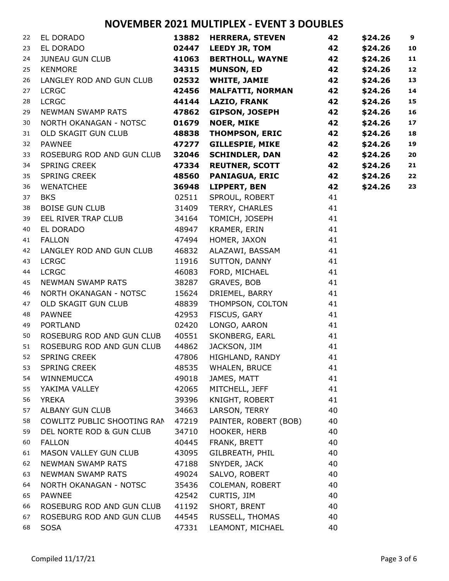| 22 | EL DORADO                       | 13882 | <b>HERRERA, STEVEN</b>  | 42 | \$24.26 | $\boldsymbol{9}$ |
|----|---------------------------------|-------|-------------------------|----|---------|------------------|
| 23 | EL DORADO                       | 02447 | <b>LEEDY JR, TOM</b>    | 42 | \$24.26 | 10               |
| 24 | <b>JUNEAU GUN CLUB</b>          | 41063 | <b>BERTHOLL, WAYNE</b>  | 42 | \$24.26 | 11               |
| 25 | <b>KENMORE</b>                  | 34315 | <b>MUNSON, ED</b>       | 42 | \$24.26 | 12               |
| 26 | LANGLEY ROD AND GUN CLUB        | 02532 | <b>WHITE, JAMIE</b>     | 42 | \$24.26 | 13               |
| 27 | <b>LCRGC</b>                    | 42456 | <b>MALFATTI, NORMAN</b> | 42 | \$24.26 | 14               |
| 28 | <b>LCRGC</b>                    | 44144 | <b>LAZIO, FRANK</b>     | 42 | \$24.26 | 15               |
| 29 | NEWMAN SWAMP RATS               | 47862 | <b>GIPSON, JOSEPH</b>   | 42 | \$24.26 | 16               |
| 30 | NORTH OKANAGAN - NOTSC          | 01679 | <b>NOER, MIKE</b>       | 42 | \$24.26 | 17               |
| 31 | OLD SKAGIT GUN CLUB             | 48838 | <b>THOMPSON, ERIC</b>   | 42 | \$24.26 | 18               |
| 32 | <b>PAWNEE</b>                   | 47277 | <b>GILLESPIE, MIKE</b>  | 42 | \$24.26 | 19               |
| 33 | ROSEBURG ROD AND GUN CLUB       | 32046 | <b>SCHINDLER, DAN</b>   | 42 | \$24.26 | 20               |
| 34 | SPRING CREEK                    | 47334 | <b>REUTNER, SCOTT</b>   | 42 | \$24.26 | 21               |
| 35 | SPRING CREEK                    | 48560 | <b>PANIAGUA, ERIC</b>   | 42 | \$24.26 | 22               |
| 36 | <b>WENATCHEE</b>                | 36948 | LIPPERT, BEN            | 42 | \$24.26 | 23               |
| 37 | <b>BKS</b>                      | 02511 | SPROUL, ROBERT          | 41 |         |                  |
| 38 | <b>BOISE GUN CLUB</b>           | 31409 | TERRY, CHARLES          | 41 |         |                  |
| 39 | EEL RIVER TRAP CLUB             | 34164 | TOMICH, JOSEPH          | 41 |         |                  |
| 40 | EL DORADO                       | 48947 | KRAMER, ERIN            | 41 |         |                  |
| 41 | <b>FALLON</b>                   | 47494 | HOMER, JAXON            | 41 |         |                  |
| 42 | LANGLEY ROD AND GUN CLUB        | 46832 | ALAZAWI, BASSAM         | 41 |         |                  |
| 43 | <b>LCRGC</b>                    | 11916 | SUTTON, DANNY           | 41 |         |                  |
| 44 | <b>LCRGC</b>                    | 46083 | FORD, MICHAEL           | 41 |         |                  |
| 45 | NEWMAN SWAMP RATS               | 38287 | GRAVES, BOB             | 41 |         |                  |
| 46 | NORTH OKANAGAN - NOTSC          | 15624 | DRIEMEL, BARRY          | 41 |         |                  |
| 47 | OLD SKAGIT GUN CLUB             | 48839 | THOMPSON, COLTON        | 41 |         |                  |
| 48 | <b>PAWNEE</b>                   | 42953 | FISCUS, GARY            | 41 |         |                  |
| 49 | <b>PORTLAND</b>                 | 02420 | LONGO, AARON            | 41 |         |                  |
| 50 | ROSEBURG ROD AND GUN CLUB       | 40551 | SKONBERG, EARL          | 41 |         |                  |
| 51 | ROSEBURG ROD AND GUN CLUB       | 44862 | JACKSON, JIM            | 41 |         |                  |
| 52 | SPRING CREEK                    | 47806 | HIGHLAND, RANDY         | 41 |         |                  |
| 53 | <b>SPRING CREEK</b>             |       | 48535 WHALEN, BRUCE     | 41 |         |                  |
| 54 | WINNEMUCCA                      | 49018 | JAMES, MATT             | 41 |         |                  |
| 55 | YAKIMA VALLEY                   | 42065 | MITCHELL, JEFF          | 41 |         |                  |
| 56 | <b>YREKA</b>                    | 39396 | KNIGHT, ROBERT          | 41 |         |                  |
| 57 | ALBANY GUN CLUB                 | 34663 | LARSON, TERRY           | 40 |         |                  |
| 58 | COWLITZ PUBLIC SHOOTING RAN     | 47219 | PAINTER, ROBERT (BOB)   | 40 |         |                  |
| 59 | DEL NORTE ROD & GUN CLUB        | 34710 | HOOKER, HERB            | 40 |         |                  |
| 60 | <b>FALLON</b>                   | 40445 | FRANK, BRETT            | 40 |         |                  |
| 61 | MASON VALLEY GUN CLUB           | 43095 | GILBREATH, PHIL         | 40 |         |                  |
| 62 | NEWMAN SWAMP RATS               | 47188 | SNYDER, JACK            | 40 |         |                  |
| 63 | NEWMAN SWAMP RATS               | 49024 | SALVO, ROBERT           | 40 |         |                  |
| 64 | NORTH OKANAGAN - NOTSC          | 35436 | COLEMAN, ROBERT         | 40 |         |                  |
| 65 | <b>PAWNEE</b>                   | 42542 | CURTIS, JIM             | 40 |         |                  |
| 66 | ROSEBURG ROD AND GUN CLUB 41192 |       | SHORT, BRENT            | 40 |         |                  |
| 67 | ROSEBURG ROD AND GUN CLUB       | 44545 | RUSSELL, THOMAS         | 40 |         |                  |
| 68 | <b>SOSA</b>                     | 47331 | LEAMONT, MICHAEL        | 40 |         |                  |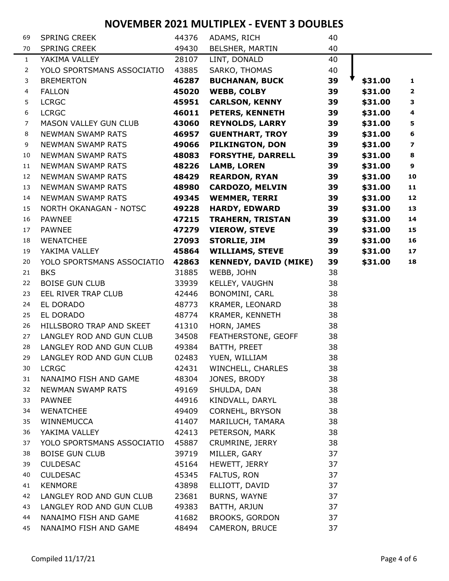| 69             | <b>SPRING CREEK</b>          | 44376 | ADAMS, RICH                  | 40 |         |                         |
|----------------|------------------------------|-------|------------------------------|----|---------|-------------------------|
| 70             | <b>SPRING CREEK</b>          | 49430 | BELSHER, MARTIN              | 40 |         |                         |
| $\mathbf{1}$   | YAKIMA VALLEY                | 28107 | LINT, DONALD                 | 40 |         |                         |
| 2              | YOLO SPORTSMANS ASSOCIATIO   | 43885 | SARKO, THOMAS                | 40 |         |                         |
| 3              | <b>BREMERTON</b>             | 46287 | <b>BUCHANAN, BUCK</b>        | 39 | \$31.00 | $\mathbf{1}$            |
| 4              | <b>FALLON</b>                | 45020 | <b>WEBB, COLBY</b>           | 39 | \$31.00 | $\mathbf{2}$            |
| 5              | <b>LCRGC</b>                 | 45951 | <b>CARLSON, KENNY</b>        | 39 | \$31.00 | 3                       |
| 6              | <b>LCRGC</b>                 | 46011 | PETERS, KENNETH              | 39 | \$31.00 | $\overline{\mathbf{4}}$ |
| $\overline{7}$ | <b>MASON VALLEY GUN CLUB</b> | 43060 | <b>REYNOLDS, LARRY</b>       | 39 | \$31.00 | 5                       |
| 8              | <b>NEWMAN SWAMP RATS</b>     | 46957 | <b>GUENTHART, TROY</b>       | 39 | \$31.00 | 6                       |
| 9              | NEWMAN SWAMP RATS            | 49066 | PILKINGTON, DON              | 39 | \$31.00 | 7                       |
| 10             | <b>NEWMAN SWAMP RATS</b>     | 48083 | <b>FORSYTHE, DARRELL</b>     | 39 | \$31.00 | 8                       |
| 11             | <b>NEWMAN SWAMP RATS</b>     | 48226 | <b>LAMB, LOREN</b>           | 39 | \$31.00 | 9                       |
| 12             | <b>NEWMAN SWAMP RATS</b>     | 48429 | <b>REARDON, RYAN</b>         | 39 | \$31.00 | 10                      |
| 13             | <b>NEWMAN SWAMP RATS</b>     | 48980 | <b>CARDOZO, MELVIN</b>       | 39 | \$31.00 | 11                      |
| 14             | <b>NEWMAN SWAMP RATS</b>     | 49345 | <b>WEMMER, TERRI</b>         | 39 | \$31.00 | 12                      |
| 15             | NORTH OKANAGAN - NOTSC       | 49228 | <b>HARDY, EDWARD</b>         | 39 | \$31.00 | 13                      |
| 16             | <b>PAWNEE</b>                | 47215 | <b>TRAHERN, TRISTAN</b>      | 39 | \$31.00 | 14                      |
| 17             | <b>PAWNEE</b>                | 47279 | <b>VIEROW, STEVE</b>         | 39 | \$31.00 | 15                      |
| 18             | <b>WENATCHEE</b>             | 27093 | <b>STORLIE, JIM</b>          | 39 | \$31.00 | 16                      |
| 19             | YAKIMA VALLEY                | 45864 | <b>WILLIAMS, STEVE</b>       | 39 | \$31.00 | 17                      |
| 20             | YOLO SPORTSMANS ASSOCIATIO   | 42863 | <b>KENNEDY, DAVID (MIKE)</b> | 39 | \$31.00 | 18                      |
| 21             | <b>BKS</b>                   | 31885 | WEBB, JOHN                   | 38 |         |                         |
| 22             | <b>BOISE GUN CLUB</b>        | 33939 | KELLEY, VAUGHN               | 38 |         |                         |
| 23             | EEL RIVER TRAP CLUB          | 42446 | BONOMINI, CARL               | 38 |         |                         |
| 24             | EL DORADO                    | 48773 | KRAMER, LEONARD              | 38 |         |                         |
| 25             | EL DORADO                    | 48774 | KRAMER, KENNETH              | 38 |         |                         |
| 26             | HILLSBORO TRAP AND SKEET     | 41310 | HORN, JAMES                  | 38 |         |                         |
| 27             | LANGLEY ROD AND GUN CLUB     | 34508 | FEATHERSTONE, GEOFF          | 38 |         |                         |
| 28             | LANGLEY ROD AND GUN CLUB     | 49384 | BATTH, PREET                 | 38 |         |                         |
| 29             | LANGLEY ROD AND GUN CLUB     | 02483 | YUEN, WILLIAM                | 38 |         |                         |
| 30             | <b>LCRGC</b>                 | 42431 | WINCHELL, CHARLES            | 38 |         |                         |
| 31             | NANAIMO FISH AND GAME        | 48304 | JONES, BRODY                 | 38 |         |                         |
| 32             | <b>NEWMAN SWAMP RATS</b>     | 49169 | SHULDA, DAN                  | 38 |         |                         |
| 33             | <b>PAWNEE</b>                | 44916 | KINDVALL, DARYL              | 38 |         |                         |
| 34             | <b>WENATCHEE</b>             | 49409 | CORNEHL, BRYSON              | 38 |         |                         |
| 35             | WINNEMUCCA                   | 41407 | MARILUCH, TAMARA             | 38 |         |                         |
| 36             | YAKIMA VALLEY                | 42413 | PETERSON, MARK               | 38 |         |                         |
| 37             | YOLO SPORTSMANS ASSOCIATIO   | 45887 | CRUMRINE, JERRY              | 38 |         |                         |
| 38             | <b>BOISE GUN CLUB</b>        | 39719 | MILLER, GARY                 | 37 |         |                         |
| 39             | <b>CULDESAC</b>              | 45164 | HEWETT, JERRY                | 37 |         |                         |
| 40             | <b>CULDESAC</b>              | 45345 | FALTUS, RON                  | 37 |         |                         |
| 41             | <b>KENMORE</b>               | 43898 | ELLIOTT, DAVID               | 37 |         |                         |
| 42             | LANGLEY ROD AND GUN CLUB     | 23681 | BURNS, WAYNE                 | 37 |         |                         |
| 43             | LANGLEY ROD AND GUN CLUB     | 49383 | BATTH, ARJUN                 | 37 |         |                         |
| 44             | NANAIMO FISH AND GAME        | 41682 | <b>BROOKS, GORDON</b>        | 37 |         |                         |
| 45             | NANAIMO FISH AND GAME        | 48494 | CAMERON, BRUCE               | 37 |         |                         |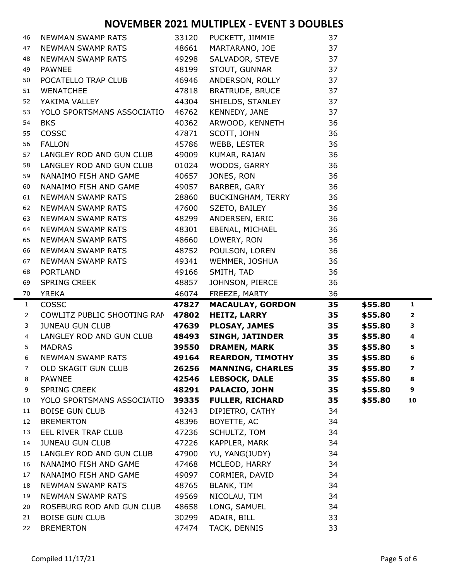| 46             | <b>NEWMAN SWAMP RATS</b>                | 33120          | PUCKETT, JIMMIE             | 37       |         |                         |
|----------------|-----------------------------------------|----------------|-----------------------------|----------|---------|-------------------------|
| 47             | NEWMAN SWAMP RATS                       | 48661          | MARTARANO, JOE              | 37       |         |                         |
| 48             | NEWMAN SWAMP RATS                       | 49298          | SALVADOR, STEVE             | 37       |         |                         |
| 49             | <b>PAWNEE</b>                           | 48199          | STOUT, GUNNAR               | 37       |         |                         |
| 50             | POCATELLO TRAP CLUB                     | 46946          | ANDERSON, ROLLY             | 37       |         |                         |
| 51             | <b>WENATCHEE</b>                        | 47818          | <b>BRATRUDE, BRUCE</b>      | 37       |         |                         |
| 52             | YAKIMA VALLEY                           | 44304          | SHIELDS, STANLEY            | 37       |         |                         |
| 53             | YOLO SPORTSMANS ASSOCIATIO              | 46762          | KENNEDY, JANE               | 37       |         |                         |
| 54             | <b>BKS</b>                              | 40362          | ARWOOD, KENNETH             | 36       |         |                         |
| 55             | COSSC                                   | 47871          | SCOTT, JOHN                 | 36       |         |                         |
| 56             | <b>FALLON</b>                           | 45786          | WEBB, LESTER                | 36       |         |                         |
| 57             | LANGLEY ROD AND GUN CLUB                | 49009          | KUMAR, RAJAN                | 36       |         |                         |
| 58             | LANGLEY ROD AND GUN CLUB                | 01024          | WOODS, GARRY                | 36       |         |                         |
| 59             | NANAIMO FISH AND GAME                   | 40657          | JONES, RON                  | 36       |         |                         |
| 60             | NANAIMO FISH AND GAME                   | 49057          | BARBER, GARY                | 36       |         |                         |
| 61             | <b>NEWMAN SWAMP RATS</b>                | 28860          | BUCKINGHAM, TERRY           | 36       |         |                         |
| 62             | NEWMAN SWAMP RATS                       | 47600          | SZETO, BAILEY               | 36       |         |                         |
| 63             | <b>NEWMAN SWAMP RATS</b>                | 48299          | ANDERSEN, ERIC              | 36       |         |                         |
| 64             | NEWMAN SWAMP RATS                       | 48301          | EBENAL, MICHAEL             | 36       |         |                         |
| 65             | NEWMAN SWAMP RATS                       | 48660          | LOWERY, RON                 | 36       |         |                         |
| 66             | NEWMAN SWAMP RATS                       | 48752          | POULSON, LOREN              | 36       |         |                         |
| 67             | <b>NEWMAN SWAMP RATS</b>                | 49341          | WEMMER, JOSHUA              | 36       |         |                         |
| 68             | <b>PORTLAND</b>                         | 49166          | SMITH, TAD                  | 36       |         |                         |
| 69             | <b>SPRING CREEK</b>                     | 48857          | JOHNSON, PIERCE             | 36       |         |                         |
| 70             | <b>YREKA</b>                            | 46074          | FREEZE, MARTY               | 36       |         |                         |
| $\mathbf{1}$   | <b>COSSC</b>                            | 47827          | <b>MACAULAY, GORDON</b>     | 35       | \$55.80 | $\mathbf{1}$            |
| $\overline{2}$ | COWLITZ PUBLIC SHOOTING RAN             | 47802          | <b>HEITZ, LARRY</b>         | 35       | \$55.80 | $\overline{\mathbf{2}}$ |
| 3              | <b>JUNEAU GUN CLUB</b>                  | 47639          | <b>PLOSAY, JAMES</b>        | 35       | \$55.80 | 3                       |
| 4              | LANGLEY ROD AND GUN CLUB                | 48493          | <b>SINGH, JATINDER</b>      | 35       | \$55.80 | 4                       |
| 5              | <b>MADRAS</b>                           | 39550          | <b>DRAMEN, MARK</b>         | 35       | \$55.80 | 5                       |
| 6              | <b>NEWMAN SWAMP RATS</b>                | 49164          | <b>REARDON, TIMOTHY</b>     | 35       | \$55.80 | 6                       |
| 7              | OLD SKAGIT GUN CLUB                     | 26256          | <b>MANNING, CHARLES</b>     | 35       | \$55.80 | 7                       |
| 8              | <b>PAWNEE</b>                           | 42546          | <b>LEBSOCK, DALE</b>        | 35       | \$55.80 | 8                       |
| 9              | <b>SPRING CREEK</b>                     | 48291          | PALACIO, JOHN               | 35       | \$55.80 | 9                       |
| 10             | YOLO SPORTSMANS ASSOCIATIO              | 39335          | <b>FULLER, RICHARD</b>      | 35       | \$55.80 | 10                      |
| 11             | <b>BOISE GUN CLUB</b>                   | 43243          | DIPIETRO, CATHY             | 34       |         |                         |
| 12<br>13       | <b>BREMERTON</b><br>EEL RIVER TRAP CLUB | 48396<br>47236 | BOYETTE, AC<br>SCHULTZ, TOM | 34<br>34 |         |                         |
| 14             | <b>JUNEAU GUN CLUB</b>                  | 47226          | KAPPLER, MARK               | 34       |         |                         |
| 15             | LANGLEY ROD AND GUN CLUB                | 47900          | YU, YANG(JUDY)              | 34       |         |                         |
| 16             | NANAIMO FISH AND GAME                   | 47468          | MCLEOD, HARRY               | 34       |         |                         |
| 17             | NANAIMO FISH AND GAME                   | 49097          | CORMIER, DAVID              | 34       |         |                         |
| 18             | <b>NEWMAN SWAMP RATS</b>                | 48765          | BLANK, TIM                  | 34       |         |                         |
| 19             | <b>NEWMAN SWAMP RATS</b>                | 49569          | NICOLAU, TIM                | 34       |         |                         |
| 20             | ROSEBURG ROD AND GUN CLUB               | 48658          | LONG, SAMUEL                | 34       |         |                         |
| 21             | <b>BOISE GUN CLUB</b>                   | 30299          | ADAIR, BILL                 | 33       |         |                         |
|                |                                         |                |                             |          |         |                         |
| 22             | <b>BREMERTON</b>                        | 47474          | TACK, DENNIS                | 33       |         |                         |